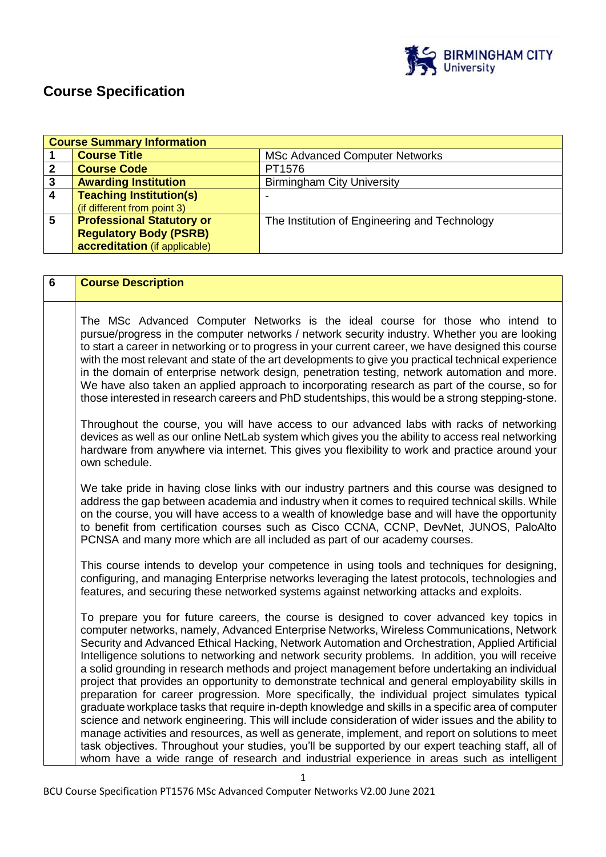

# **Course Specification**

|   | <b>Course Summary Information</b> |                                               |
|---|-----------------------------------|-----------------------------------------------|
|   | <b>Course Title</b>               | <b>MSc Advanced Computer Networks</b>         |
|   | <b>Course Code</b>                | PT1576                                        |
| 3 | <b>Awarding Institution</b>       | <b>Birmingham City University</b>             |
|   | <b>Teaching Institution(s)</b>    |                                               |
|   | (if different from point 3)       |                                               |
| 5 | <b>Professional Statutory or</b>  | The Institution of Engineering and Technology |
|   | <b>Regulatory Body (PSRB)</b>     |                                               |
|   | accreditation (if applicable)     |                                               |

| The MSc Advanced Computer Networks is the ideal course for those who intend to<br>pursue/progress in the computer networks / network security industry. Whether you are looking<br>to start a career in networking or to progress in your current career, we have designed this course<br>with the most relevant and state of the art developments to give you practical technical experience<br>in the domain of enterprise network design, penetration testing, network automation and more.<br>We have also taken an applied approach to incorporating research as part of the course, so for<br>those interested in research careers and PhD studentships, this would be a strong stepping-stone.<br>Throughout the course, you will have access to our advanced labs with racks of networking<br>devices as well as our online NetLab system which gives you the ability to access real networking<br>hardware from anywhere via internet. This gives you flexibility to work and practice around your<br>own schedule.<br>We take pride in having close links with our industry partners and this course was designed to<br>address the gap between academia and industry when it comes to required technical skills. While<br>on the course, you will have access to a wealth of knowledge base and will have the opportunity<br>to benefit from certification courses such as Cisco CCNA, CCNP, DevNet, JUNOS, PaloAlto<br>PCNSA and many more which are all included as part of our academy courses.<br>This course intends to develop your competence in using tools and techniques for designing,<br>configuring, and managing Enterprise networks leveraging the latest protocols, technologies and<br>features, and securing these networked systems against networking attacks and exploits.<br>To prepare you for future careers, the course is designed to cover advanced key topics in |
|---------------------------------------------------------------------------------------------------------------------------------------------------------------------------------------------------------------------------------------------------------------------------------------------------------------------------------------------------------------------------------------------------------------------------------------------------------------------------------------------------------------------------------------------------------------------------------------------------------------------------------------------------------------------------------------------------------------------------------------------------------------------------------------------------------------------------------------------------------------------------------------------------------------------------------------------------------------------------------------------------------------------------------------------------------------------------------------------------------------------------------------------------------------------------------------------------------------------------------------------------------------------------------------------------------------------------------------------------------------------------------------------------------------------------------------------------------------------------------------------------------------------------------------------------------------------------------------------------------------------------------------------------------------------------------------------------------------------------------------------------------------------------------------------------------------------------------------------------------------------------------------------------------|
|                                                                                                                                                                                                                                                                                                                                                                                                                                                                                                                                                                                                                                                                                                                                                                                                                                                                                                                                                                                                                                                                                                                                                                                                                                                                                                                                                                                                                                                                                                                                                                                                                                                                                                                                                                                                                                                                                                         |
|                                                                                                                                                                                                                                                                                                                                                                                                                                                                                                                                                                                                                                                                                                                                                                                                                                                                                                                                                                                                                                                                                                                                                                                                                                                                                                                                                                                                                                                                                                                                                                                                                                                                                                                                                                                                                                                                                                         |
|                                                                                                                                                                                                                                                                                                                                                                                                                                                                                                                                                                                                                                                                                                                                                                                                                                                                                                                                                                                                                                                                                                                                                                                                                                                                                                                                                                                                                                                                                                                                                                                                                                                                                                                                                                                                                                                                                                         |
|                                                                                                                                                                                                                                                                                                                                                                                                                                                                                                                                                                                                                                                                                                                                                                                                                                                                                                                                                                                                                                                                                                                                                                                                                                                                                                                                                                                                                                                                                                                                                                                                                                                                                                                                                                                                                                                                                                         |
| computer networks, namely, Advanced Enterprise Networks, Wireless Communications, Network<br>Security and Advanced Ethical Hacking, Network Automation and Orchestration, Applied Artificial<br>Intelligence solutions to networking and network security problems. In addition, you will receive<br>a solid grounding in research methods and project management before undertaking an individual<br>project that provides an opportunity to demonstrate technical and general employability skills in<br>preparation for career progression. More specifically, the individual project simulates typical<br>graduate workplace tasks that require in-depth knowledge and skills in a specific area of computer<br>science and network engineering. This will include consideration of wider issues and the ability to<br>manage activities and resources, as well as generate, implement, and report on solutions to meet<br>task objectives. Throughout your studies, you'll be supported by our expert teaching staff, all of<br>whom have a wide range of research and industrial experience in areas such as intelligent                                                                                                                                                                                                                                                                                                                                                                                                                                                                                                                                                                                                                                                                                                                                                                          |
| 1                                                                                                                                                                                                                                                                                                                                                                                                                                                                                                                                                                                                                                                                                                                                                                                                                                                                                                                                                                                                                                                                                                                                                                                                                                                                                                                                                                                                                                                                                                                                                                                                                                                                                                                                                                                                                                                                                                       |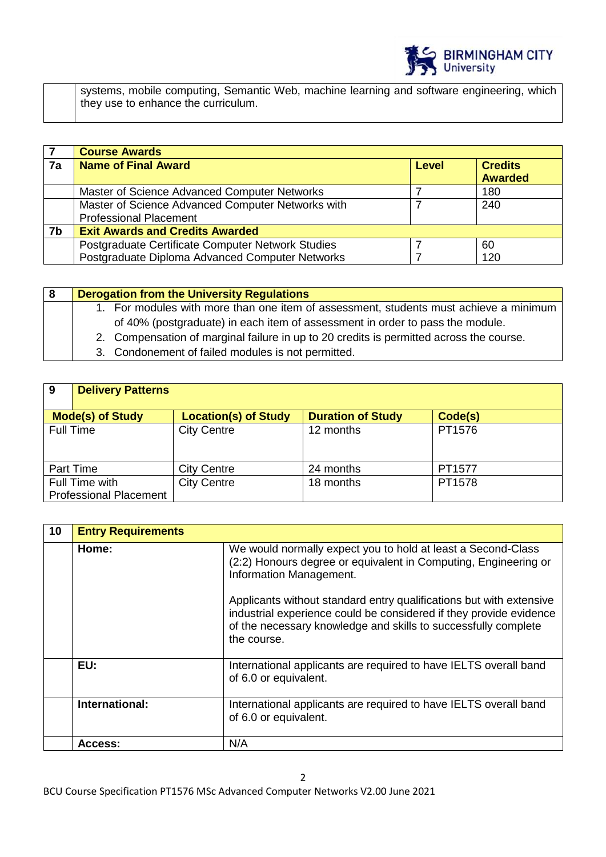

systems, mobile computing, Semantic Web, machine learning and software engineering, which they use to enhance the curriculum.

|    | <b>Course Awards</b>                              |              |                                  |
|----|---------------------------------------------------|--------------|----------------------------------|
| 7a | <b>Name of Final Award</b>                        | <b>Level</b> | <b>Credits</b><br><b>Awarded</b> |
|    | Master of Science Advanced Computer Networks      |              | 180                              |
|    | Master of Science Advanced Computer Networks with |              | 240                              |
|    | <b>Professional Placement</b>                     |              |                                  |
| 7b | <b>Exit Awards and Credits Awarded</b>            |              |                                  |
|    | Postgraduate Certificate Computer Network Studies |              | 60                               |
|    | Postgraduate Diploma Advanced Computer Networks   |              | 120                              |

| of 40% (postgraduate) in each item of assessment in order to pass the module. | 8 | <b>Derogation from the University Regulations</b>                                       |
|-------------------------------------------------------------------------------|---|-----------------------------------------------------------------------------------------|
|                                                                               |   | 1. For modules with more than one item of assessment, students must achieve a minimum   |
|                                                                               |   |                                                                                         |
|                                                                               |   | 2. Compensation of marginal failure in up to 20 credits is permitted across the course. |
| 3. Condonement of failed modules is not permitted.                            |   |                                                                                         |

| -9        | <b>Delivery Patterns</b>                        |                             |                          |         |
|-----------|-------------------------------------------------|-----------------------------|--------------------------|---------|
|           |                                                 |                             |                          |         |
|           | <b>Mode(s) of Study</b>                         | <b>Location(s) of Study</b> | <b>Duration of Study</b> | Code(s) |
| Full Time |                                                 | <b>City Centre</b>          | 12 months                | PT1576  |
|           | <b>Part Time</b>                                | <b>City Centre</b>          | 24 months                | PT1577  |
|           | Full Time with<br><b>Professional Placement</b> | <b>City Centre</b>          | 18 months                | PT1578  |

| 10 | <b>Entry Requirements</b> |                                                                                                                                                                                                                            |
|----|---------------------------|----------------------------------------------------------------------------------------------------------------------------------------------------------------------------------------------------------------------------|
|    | Home:                     | We would normally expect you to hold at least a Second-Class<br>(2:2) Honours degree or equivalent in Computing, Engineering or<br>Information Management.                                                                 |
|    |                           | Applicants without standard entry qualifications but with extensive<br>industrial experience could be considered if they provide evidence<br>of the necessary knowledge and skills to successfully complete<br>the course. |
|    | EU:                       | International applicants are required to have IELTS overall band<br>of 6.0 or equivalent.                                                                                                                                  |
|    | International:            | International applicants are required to have IELTS overall band<br>of 6.0 or equivalent.                                                                                                                                  |
|    | Access:                   | N/A                                                                                                                                                                                                                        |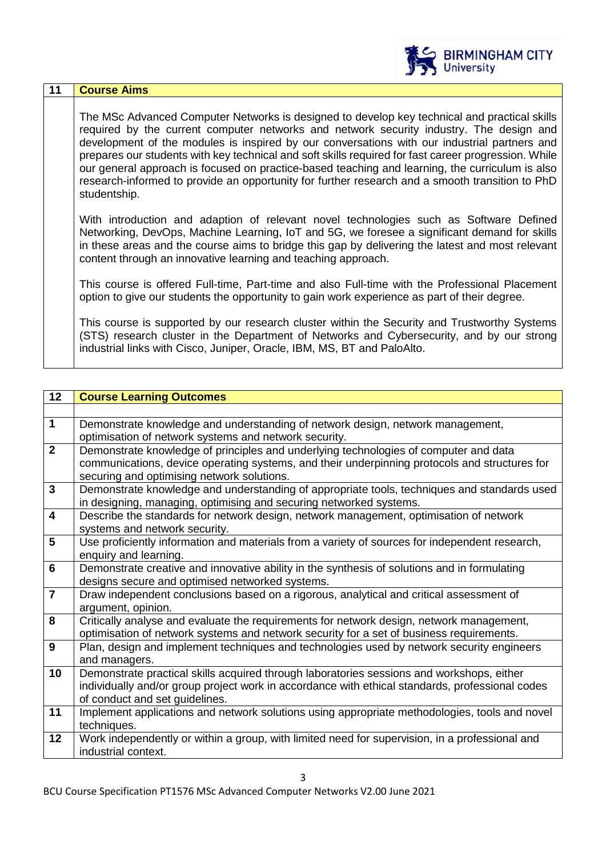|    | <b>BIRMINGHAM CITY</b><br>University                                                                                                                                                                                                                                                                                                                                                                                                                                                                                                                                                                                  |
|----|-----------------------------------------------------------------------------------------------------------------------------------------------------------------------------------------------------------------------------------------------------------------------------------------------------------------------------------------------------------------------------------------------------------------------------------------------------------------------------------------------------------------------------------------------------------------------------------------------------------------------|
| 11 | <b>Course Aims</b>                                                                                                                                                                                                                                                                                                                                                                                                                                                                                                                                                                                                    |
|    | The MSc Advanced Computer Networks is designed to develop key technical and practical skills<br>required by the current computer networks and network security industry. The design and<br>development of the modules is inspired by our conversations with our industrial partners and<br>prepares our students with key technical and soft skills required for fast career progression. While<br>our general approach is focused on practice-based teaching and learning, the curriculum is also<br>research-informed to provide an opportunity for further research and a smooth transition to PhD<br>studentship. |
|    | With introduction and adaption of relevant novel technologies such as Software Defined<br>Networking, DevOps, Machine Learning, IoT and 5G, we foresee a significant demand for skills<br>in these areas and the course aims to bridge this gap by delivering the latest and most relevant<br>content through an innovative learning and teaching approach.                                                                                                                                                                                                                                                           |
|    | This course is offered Full-time, Part-time and also Full-time with the Professional Placement<br>option to give our students the opportunity to gain work experience as part of their degree.                                                                                                                                                                                                                                                                                                                                                                                                                        |
|    | This course is supported by our research cluster within the Security and Trustworthy Systems<br>(STS) research cluster in the Department of Networks and Cybersecurity, and by our strong<br>industrial links with Cisco, Juniper, Oracle, IBM, MS, BT and PaloAlto.                                                                                                                                                                                                                                                                                                                                                  |

| 12                      | <b>Course Learning Outcomes</b>                                                                 |
|-------------------------|-------------------------------------------------------------------------------------------------|
|                         |                                                                                                 |
| $\mathbf 1$             | Demonstrate knowledge and understanding of network design, network management,                  |
|                         | optimisation of network systems and network security.                                           |
| $\overline{2}$          | Demonstrate knowledge of principles and underlying technologies of computer and data            |
|                         | communications, device operating systems, and their underpinning protocols and structures for   |
|                         | securing and optimising network solutions.                                                      |
| $\mathbf{3}$            | Demonstrate knowledge and understanding of appropriate tools, techniques and standards used     |
|                         | in designing, managing, optimising and securing networked systems.                              |
| $\overline{\mathbf{4}}$ | Describe the standards for network design, network management, optimisation of network          |
|                         | systems and network security.                                                                   |
| 5                       | Use proficiently information and materials from a variety of sources for independent research,  |
|                         | enquiry and learning.                                                                           |
| $6\phantom{1}$          | Demonstrate creative and innovative ability in the synthesis of solutions and in formulating    |
|                         | designs secure and optimised networked systems.                                                 |
| $\overline{7}$          | Draw independent conclusions based on a rigorous, analytical and critical assessment of         |
|                         | argument, opinion.                                                                              |
| 8                       | Critically analyse and evaluate the requirements for network design, network management,        |
|                         | optimisation of network systems and network security for a set of business requirements.        |
| 9                       | Plan, design and implement techniques and technologies used by network security engineers       |
|                         | and managers.                                                                                   |
| 10                      | Demonstrate practical skills acquired through laboratories sessions and workshops, either       |
|                         | individually and/or group project work in accordance with ethical standards, professional codes |
|                         | of conduct and set guidelines.                                                                  |
| 11                      | Implement applications and network solutions using appropriate methodologies, tools and novel   |
|                         | techniques.                                                                                     |
| 12                      | Work independently or within a group, with limited need for supervision, in a professional and  |
|                         | industrial context.                                                                             |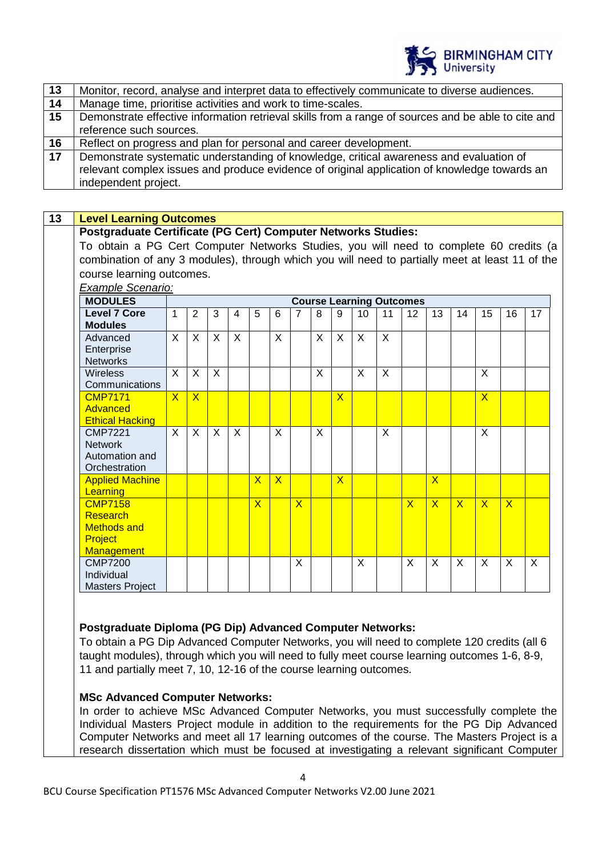

#### **13 Level Learning Outcomes**

#### **Postgraduate Certificate (PG Cert) Computer Networks Studies:**

To obtain a PG Cert Computer Networks Studies, you will need to complete 60 credits (a combination of any 3 modules), through which you will need to partially meet at least 11 of the course learning outcomes.

| Example Scenario:      |                |                |              |   |                         |                         |                |   |                         |                 |         |                                 |                         |                         |                         |                         |    |
|------------------------|----------------|----------------|--------------|---|-------------------------|-------------------------|----------------|---|-------------------------|-----------------|---------|---------------------------------|-------------------------|-------------------------|-------------------------|-------------------------|----|
| <b>MODULES</b>         |                |                |              |   |                         |                         |                |   |                         |                 |         | <b>Course Learning Outcomes</b> |                         |                         |                         |                         |    |
| <b>Level 7 Core</b>    | $\mathbf{1}$   | 2              | 3            | 4 | 5                       | 6                       | $\overline{7}$ | 8 | 9                       | 10 <sup>1</sup> | 11      | 12                              | 13                      | 14                      | 15                      | 16                      | 17 |
| <b>Modules</b>         |                |                |              |   |                         |                         |                |   |                         |                 |         |                                 |                         |                         |                         |                         |    |
| Advanced               | $\mathsf{X}$   | X              | X            | X |                         | X                       |                | X | X                       | X               | $\sf X$ |                                 |                         |                         |                         |                         |    |
| Enterprise             |                |                |              |   |                         |                         |                |   |                         |                 |         |                                 |                         |                         |                         |                         |    |
| <b>Networks</b>        |                |                |              |   |                         |                         |                |   |                         |                 |         |                                 |                         |                         |                         |                         |    |
| <b>Wireless</b>        | X              | X              | X            |   |                         |                         |                | X |                         | X               | $\sf X$ |                                 |                         |                         | X                       |                         |    |
| Communications         |                |                |              |   |                         |                         |                |   |                         |                 |         |                                 |                         |                         |                         |                         |    |
| <b>CMP7171</b>         | $\overline{X}$ | $\overline{X}$ |              |   |                         |                         |                |   | $\overline{\mathsf{X}}$ |                 |         |                                 |                         |                         | $\overline{\mathsf{X}}$ |                         |    |
| Advanced               |                |                |              |   |                         |                         |                |   |                         |                 |         |                                 |                         |                         |                         |                         |    |
| <b>Ethical Hacking</b> |                |                |              |   |                         |                         |                |   |                         |                 |         |                                 |                         |                         |                         |                         |    |
| <b>CMP7221</b>         | X              | X              | $\mathsf{X}$ | X |                         | X                       |                | X |                         |                 | X       |                                 |                         |                         | $\sf X$                 |                         |    |
| <b>Network</b>         |                |                |              |   |                         |                         |                |   |                         |                 |         |                                 |                         |                         |                         |                         |    |
| Automation and         |                |                |              |   |                         |                         |                |   |                         |                 |         |                                 |                         |                         |                         |                         |    |
| Orchestration          |                |                |              |   |                         |                         |                |   |                         |                 |         |                                 |                         |                         |                         |                         |    |
| <b>Applied Machine</b> |                |                |              |   | $\overline{\mathsf{X}}$ | $\overline{\mathsf{X}}$ |                |   | $\overline{\mathsf{X}}$ |                 |         |                                 | $\overline{\mathsf{X}}$ |                         |                         |                         |    |
| <b>Learning</b>        |                |                |              |   |                         |                         |                |   |                         |                 |         |                                 |                         |                         |                         |                         |    |
| <b>CMP7158</b>         |                |                |              |   | $\overline{\mathsf{X}}$ |                         | $\overline{X}$ |   |                         |                 |         | $\overline{\mathsf{X}}$         | $\overline{\mathsf{X}}$ | $\overline{\mathsf{X}}$ | $\overline{\mathsf{X}}$ | $\overline{\mathsf{x}}$ |    |
| Research               |                |                |              |   |                         |                         |                |   |                         |                 |         |                                 |                         |                         |                         |                         |    |
| <b>Methods and</b>     |                |                |              |   |                         |                         |                |   |                         |                 |         |                                 |                         |                         |                         |                         |    |
| Project                |                |                |              |   |                         |                         |                |   |                         |                 |         |                                 |                         |                         |                         |                         |    |
| <b>Management</b>      |                |                |              |   |                         |                         |                |   |                         |                 |         |                                 |                         |                         |                         |                         |    |
| <b>CMP7200</b>         |                |                |              |   |                         |                         | X              |   |                         | X               |         | X                               | X                       | X                       | X                       | X                       | X  |
| Individual             |                |                |              |   |                         |                         |                |   |                         |                 |         |                                 |                         |                         |                         |                         |    |
| <b>Masters Project</b> |                |                |              |   |                         |                         |                |   |                         |                 |         |                                 |                         |                         |                         |                         |    |

### **Postgraduate Diploma (PG Dip) Advanced Computer Networks:**

To obtain a PG Dip Advanced Computer Networks, you will need to complete 120 credits (all 6 taught modules), through which you will need to fully meet course learning outcomes 1-6, 8-9, 11 and partially meet 7, 10, 12-16 of the course learning outcomes.

#### **MSc Advanced Computer Networks:**

In order to achieve MSc Advanced Computer Networks, you must successfully complete the Individual Masters Project module in addition to the requirements for the PG Dip Advanced Computer Networks and meet all 17 learning outcomes of the course. The Masters Project is a research dissertation which must be focused at investigating a relevant significant Computer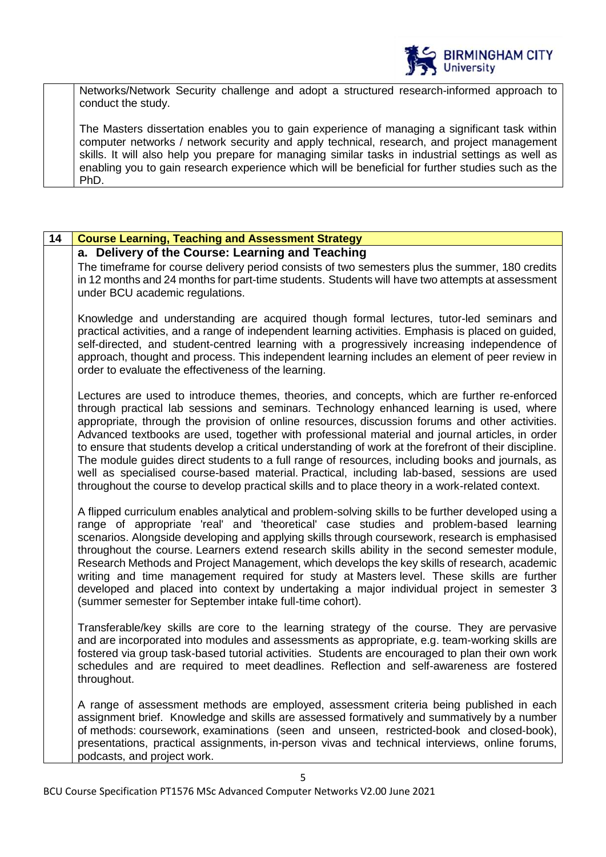

Networks/Network Security challenge and adopt a structured research-informed approach to conduct the study.

The Masters dissertation enables you to gain experience of managing a significant task within computer networks / network security and apply technical, research, and project management skills. It will also help you prepare for managing similar tasks in industrial settings as well as enabling you to gain research experience which will be beneficial for further studies such as the PhD.

| 14 | <b>Course Learning, Teaching and Assessment Strategy</b>                                                                                                                                                                                                                                                                                                                                                                                                                                                                                                                                                                                                                                                                                                                                                         |
|----|------------------------------------------------------------------------------------------------------------------------------------------------------------------------------------------------------------------------------------------------------------------------------------------------------------------------------------------------------------------------------------------------------------------------------------------------------------------------------------------------------------------------------------------------------------------------------------------------------------------------------------------------------------------------------------------------------------------------------------------------------------------------------------------------------------------|
|    | a. Delivery of the Course: Learning and Teaching<br>The timeframe for course delivery period consists of two semesters plus the summer, 180 credits<br>in 12 months and 24 months for part-time students. Students will have two attempts at assessment<br>under BCU academic regulations.                                                                                                                                                                                                                                                                                                                                                                                                                                                                                                                       |
|    | Knowledge and understanding are acquired though formal lectures, tutor-led seminars and<br>practical activities, and a range of independent learning activities. Emphasis is placed on guided,<br>self-directed, and student-centred learning with a progressively increasing independence of<br>approach, thought and process. This independent learning includes an element of peer review in<br>order to evaluate the effectiveness of the learning.                                                                                                                                                                                                                                                                                                                                                          |
|    | Lectures are used to introduce themes, theories, and concepts, which are further re-enforced<br>through practical lab sessions and seminars. Technology enhanced learning is used, where<br>appropriate, through the provision of online resources, discussion forums and other activities.<br>Advanced textbooks are used, together with professional material and journal articles, in order<br>to ensure that students develop a critical understanding of work at the forefront of their discipline.<br>The module guides direct students to a full range of resources, including books and journals, as<br>well as specialised course-based material. Practical, including lab-based, sessions are used<br>throughout the course to develop practical skills and to place theory in a work-related context. |
|    | A flipped curriculum enables analytical and problem-solving skills to be further developed using a<br>range of appropriate 'real' and 'theoretical' case studies and problem-based learning<br>scenarios. Alongside developing and applying skills through coursework, research is emphasised<br>throughout the course. Learners extend research skills ability in the second semester module,<br>Research Methods and Project Management, which develops the key skills of research, academic<br>writing and time management required for study at Masters level. These skills are further<br>developed and placed into context by undertaking a major individual project in semester 3<br>(summer semester for September intake full-time cohort).                                                             |
|    | Transferable/key skills are core to the learning strategy of the course. They are pervasive<br>and are incorporated into modules and assessments as appropriate, e.g. team-working skills are<br>fostered via group task-based tutorial activities. Students are encouraged to plan their own work<br>schedules and are required to meet deadlines. Reflection and self-awareness are fostered<br>throughout.                                                                                                                                                                                                                                                                                                                                                                                                    |
|    | A range of assessment methods are employed, assessment criteria being published in each<br>assignment brief. Knowledge and skills are assessed formatively and summatively by a number<br>of methods: coursework, examinations (seen and unseen, restricted-book and closed-book),<br>presentations, practical assignments, in-person vivas and technical interviews, online forums,<br>podcasts, and project work.                                                                                                                                                                                                                                                                                                                                                                                              |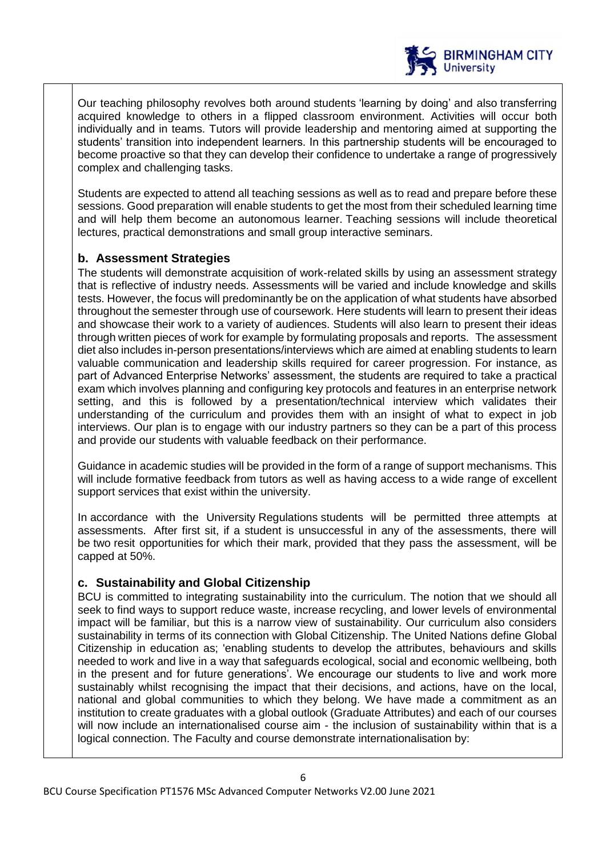

Our teaching philosophy revolves both around students 'learning by doing' and also transferring acquired knowledge to others in a flipped classroom environment. Activities will occur both individually and in teams. Tutors will provide leadership and mentoring aimed at supporting the students' transition into independent learners. In this partnership students will be encouraged to become proactive so that they can develop their confidence to undertake a range of progressively complex and challenging tasks.

Students are expected to attend all teaching sessions as well as to read and prepare before these sessions. Good preparation will enable students to get the most from their scheduled learning time and will help them become an autonomous learner. Teaching sessions will include theoretical lectures, practical demonstrations and small group interactive seminars.

### **b. Assessment Strategies**

The students will demonstrate acquisition of work-related skills by using an assessment strategy that is reflective of industry needs. Assessments will be varied and include knowledge and skills tests. However, the focus will predominantly be on the application of what students have absorbed throughout the semester through use of coursework. Here students will learn to present their ideas and showcase their work to a variety of audiences. Students will also learn to present their ideas through written pieces of work for example by formulating proposals and reports. The assessment diet also includes in-person presentations/interviews which are aimed at enabling students to learn valuable communication and leadership skills required for career progression. For instance, as part of Advanced Enterprise Networks' assessment, the students are required to take a practical exam which involves planning and configuring key protocols and features in an enterprise network setting, and this is followed by a presentation/technical interview which validates their understanding of the curriculum and provides them with an insight of what to expect in job interviews. Our plan is to engage with our industry partners so they can be a part of this process and provide our students with valuable feedback on their performance.

Guidance in academic studies will be provided in the form of a range of support mechanisms. This will include formative feedback from tutors as well as having access to a wide range of excellent support services that exist within the university.

In accordance with the University Regulations students will be permitted three attempts at assessments. After first sit, if a student is unsuccessful in any of the assessments, there will be two resit opportunities for which their mark, provided that they pass the assessment, will be capped at 50%.

### **c. Sustainability and Global Citizenship**

BCU is committed to integrating sustainability into the curriculum. The notion that we should all seek to find ways to support reduce waste, increase recycling, and lower levels of environmental impact will be familiar, but this is a narrow view of sustainability. Our curriculum also considers sustainability in terms of its connection with Global Citizenship. The United Nations define Global Citizenship in education as; 'enabling students to develop the attributes, behaviours and skills needed to work and live in a way that safeguards ecological, social and economic wellbeing, both in the present and for future generations'. We encourage our students to live and work more sustainably whilst recognising the impact that their decisions, and actions, have on the local, national and global communities to which they belong. We have made a commitment as an institution to create graduates with a global outlook (Graduate Attributes) and each of our courses will now include an internationalised course aim - the inclusion of sustainability within that is a logical connection. The Faculty and course demonstrate internationalisation by: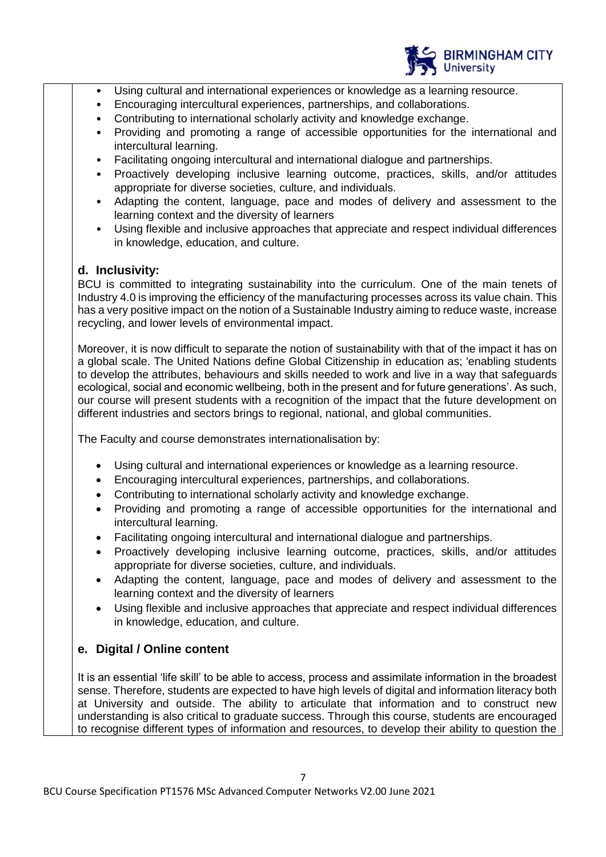

- Using cultural and international experiences or knowledge as a learning resource.
- Encouraging intercultural experiences, partnerships, and collaborations.
- Contributing to international scholarly activity and knowledge exchange.
- Providing and promoting a range of accessible opportunities for the international and intercultural learning.
- Facilitating ongoing intercultural and international dialogue and partnerships.
- Proactively developing inclusive learning outcome, practices, skills, and/or attitudes appropriate for diverse societies, culture, and individuals.
- Adapting the content, language, pace and modes of delivery and assessment to the learning context and the diversity of learners
- Using flexible and inclusive approaches that appreciate and respect individual differences in knowledge, education, and culture.

### **d. Inclusivity:**

BCU is committed to integrating sustainability into the curriculum. One of the main tenets of Industry 4.0 is improving the efficiency of the manufacturing processes across its value chain. This has a very positive impact on the notion of a Sustainable Industry aiming to reduce waste, increase recycling, and lower levels of environmental impact.

Moreover, it is now difficult to separate the notion of sustainability with that of the impact it has on a global scale. The United Nations define Global Citizenship in education as; 'enabling students to develop the attributes, behaviours and skills needed to work and live in a way that safeguards ecological, social and economic wellbeing, both in the present and for future generations'. As such, our course will present students with a recognition of the impact that the future development on different industries and sectors brings to regional, national, and global communities.

The Faculty and course demonstrates internationalisation by:

- Using cultural and international experiences or knowledge as a learning resource.
- Encouraging intercultural experiences, partnerships, and collaborations.
- Contributing to international scholarly activity and knowledge exchange.
- Providing and promoting a range of accessible opportunities for the international and intercultural learning.
- Facilitating ongoing intercultural and international dialogue and partnerships.
- Proactively developing inclusive learning outcome, practices, skills, and/or attitudes appropriate for diverse societies, culture, and individuals.
- Adapting the content, language, pace and modes of delivery and assessment to the learning context and the diversity of learners
- Using flexible and inclusive approaches that appreciate and respect individual differences in knowledge, education, and culture.

# **e. Digital / Online content**

It is an essential 'life skill' to be able to access, process and assimilate information in the broadest sense. Therefore, students are expected to have high levels of digital and information literacy both at University and outside. The ability to articulate that information and to construct new understanding is also critical to graduate success. Through this course, students are encouraged to recognise different types of information and resources, to develop their ability to question the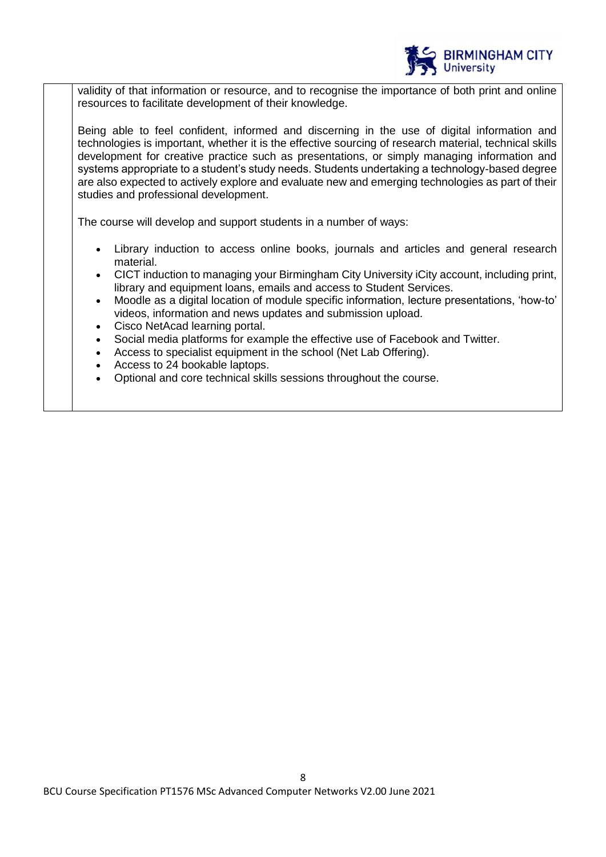

validity of that information or resource, and to recognise the importance of both print and online resources to facilitate development of their knowledge.

Being able to feel confident, informed and discerning in the use of digital information and technologies is important, whether it is the effective sourcing of research material, technical skills development for creative practice such as presentations, or simply managing information and systems appropriate to a student's study needs. Students undertaking a technology-based degree are also expected to actively explore and evaluate new and emerging technologies as part of their studies and professional development.

The course will develop and support students in a number of ways:

- Library induction to access online books, journals and articles and general research material.
- CICT induction to managing your Birmingham City University iCity account, including print, library and equipment loans, emails and access to Student Services.
- Moodle as a digital location of module specific information, lecture presentations, 'how-to' videos, information and news updates and submission upload.
- Cisco NetAcad learning portal.
- Social media platforms for example the effective use of Facebook and Twitter.
- Access to specialist equipment in the school (Net Lab Offering).
- Access to 24 bookable laptops.
- Optional and core technical skills sessions throughout the course.

8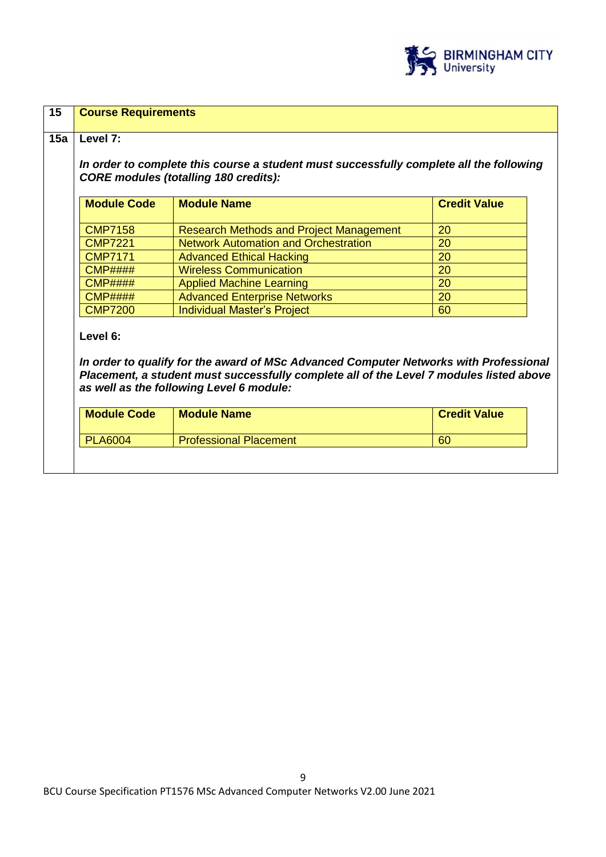

| <b>Module Code</b> | <b>Module Name</b>                                                                                                                                                                                                           | <b>Credit Value</b> |  |  |
|--------------------|------------------------------------------------------------------------------------------------------------------------------------------------------------------------------------------------------------------------------|---------------------|--|--|
| <b>CMP7158</b>     | <b>Research Methods and Project Management</b>                                                                                                                                                                               | 20                  |  |  |
| <b>CMP7221</b>     | <b>Network Automation and Orchestration</b>                                                                                                                                                                                  | 20                  |  |  |
| <b>CMP7171</b>     | <b>Advanced Ethical Hacking</b>                                                                                                                                                                                              | 20<br>20<br>20      |  |  |
| CMP#H#H            | <b>Wireless Communication</b>                                                                                                                                                                                                |                     |  |  |
| <b>CMP####</b>     | <b>Applied Machine Learning</b>                                                                                                                                                                                              |                     |  |  |
| $CMP$ ####         | <b>Advanced Enterprise Networks</b>                                                                                                                                                                                          | 20                  |  |  |
| <b>CMP7200</b>     | <b>Individual Master's Project</b>                                                                                                                                                                                           | 60                  |  |  |
| Level 6:           | In order to qualify for the award of MSc Advanced Computer Networks with Professional<br>Placement, a student must successfully complete all of the Level 7 modules listed above<br>as well as the following Level 6 module: |                     |  |  |
| <b>Module Code</b> | <b>Module Name</b>                                                                                                                                                                                                           | <b>Credit Value</b> |  |  |
|                    |                                                                                                                                                                                                                              |                     |  |  |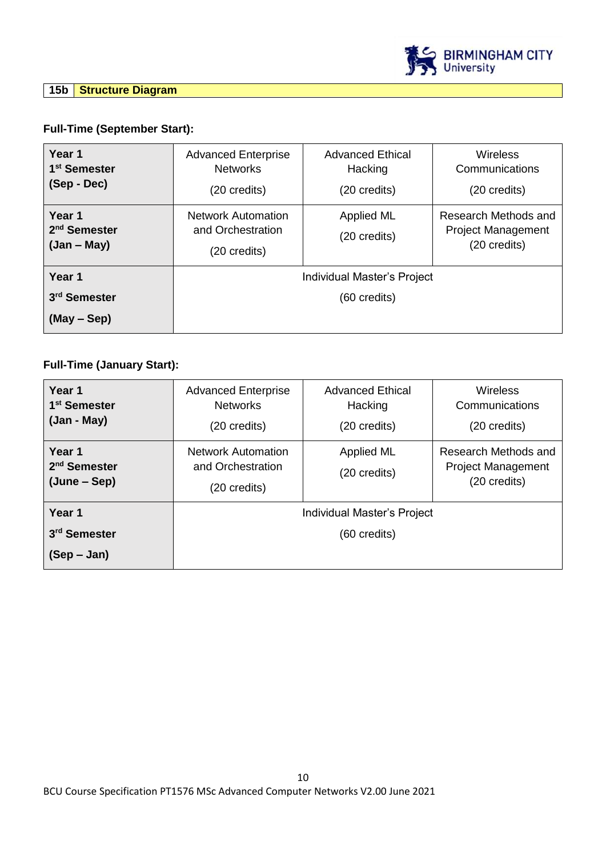

## **15b Structure Diagram**

# **Full-Time (September Start):**

| Year 1<br>1 <sup>st</sup> Semester<br>(Sep - Dec)   | <b>Advanced Enterprise</b><br><b>Networks</b><br>(20 credits)  | <b>Advanced Ethical</b><br>Hacking<br>(20 credits) | <b>Wireless</b><br>Communications<br>(20 credits)                 |
|-----------------------------------------------------|----------------------------------------------------------------|----------------------------------------------------|-------------------------------------------------------------------|
| Year 1<br>2 <sup>nd</sup> Semester<br>$(Jan - May)$ | <b>Network Automation</b><br>and Orchestration<br>(20 credits) | <b>Applied ML</b><br>(20 credits)                  | Research Methods and<br><b>Project Management</b><br>(20 credits) |
| Year 1                                              | Individual Master's Project                                    |                                                    |                                                                   |
| 3 <sup>rd</sup> Semester                            | $(60 \text{ credits})$                                         |                                                    |                                                                   |
| (May – Sep)                                         |                                                                |                                                    |                                                                   |

# **Full-Time (January Start):**

| Year 1<br>1 <sup>st</sup> Semester<br>(Jan - May)  | <b>Advanced Enterprise</b><br><b>Networks</b><br>(20 credits) | <b>Advanced Ethical</b><br>Hacking<br>(20 credits) | <b>Wireless</b><br>Communications<br>(20 credits)                 |
|----------------------------------------------------|---------------------------------------------------------------|----------------------------------------------------|-------------------------------------------------------------------|
| Year 1<br>2 <sup>nd</sup> Semester<br>(June – Sep) | Network Automation<br>and Orchestration<br>(20 credits)       | <b>Applied ML</b><br>(20 credits)                  | Research Methods and<br><b>Project Management</b><br>(20 credits) |
| Year 1                                             |                                                               | Individual Master's Project                        |                                                                   |
| 3 <sup>rd</sup> Semester                           | (60 credits)                                                  |                                                    |                                                                   |
| $(Sep - Jan)$                                      |                                                               |                                                    |                                                                   |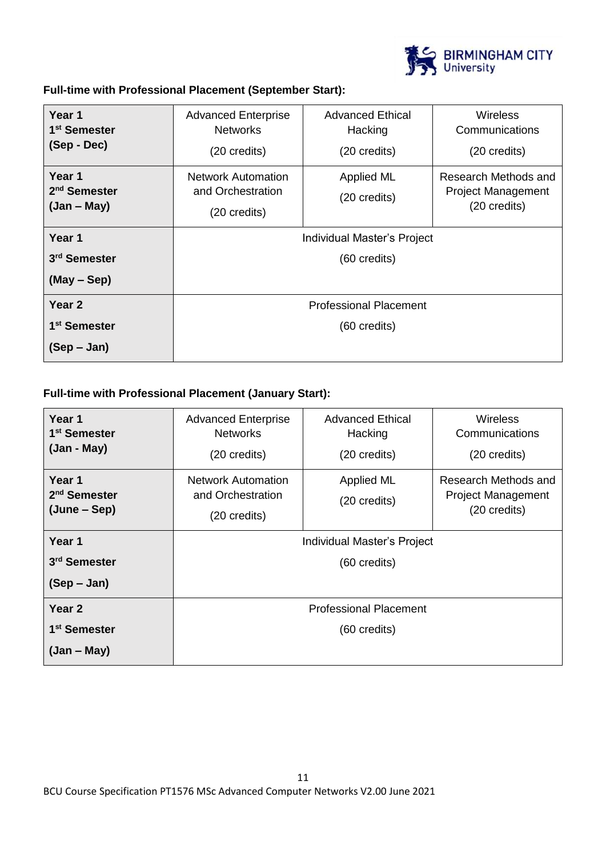

**Full-time with Professional Placement (September Start):**

| Year 1<br>1 <sup>st</sup> Semester<br>(Sep - Dec)   | <b>Advanced Enterprise</b><br><b>Networks</b><br>(20 credits)            | <b>Advanced Ethical</b><br>Hacking<br>(20 credits) | <b>Wireless</b><br>Communications<br>(20 credits)                 |
|-----------------------------------------------------|--------------------------------------------------------------------------|----------------------------------------------------|-------------------------------------------------------------------|
| Year 1<br>2 <sup>nd</sup> Semester<br>$(Jan - May)$ | <b>Network Automation</b><br>and Orchestration<br>$(20 \text{ credits})$ | Applied ML<br>(20 credits)                         | Research Methods and<br><b>Project Management</b><br>(20 credits) |
| Year 1                                              | Individual Master's Project                                              |                                                    |                                                                   |
| 3 <sup>rd</sup> Semester                            | (60 credits)                                                             |                                                    |                                                                   |
| $(May - Sep)$                                       |                                                                          |                                                    |                                                                   |
| Year <sub>2</sub>                                   | <b>Professional Placement</b>                                            |                                                    |                                                                   |
| 1 <sup>st</sup> Semester                            | $(60 \text{ credits})$                                                   |                                                    |                                                                   |
| $(Sep - Jan)$                                       |                                                                          |                                                    |                                                                   |

# **Full-time with Professional Placement (January Start):**

| Year 1<br>1 <sup>st</sup> Semester<br>$(Jan - May)$ | <b>Advanced Enterprise</b><br><b>Networks</b><br>(20 credits)  | <b>Advanced Ethical</b><br>Hacking<br>(20 credits) | <b>Wireless</b><br>Communications<br>(20 credits)                 |
|-----------------------------------------------------|----------------------------------------------------------------|----------------------------------------------------|-------------------------------------------------------------------|
| Year 1<br>2 <sup>nd</sup> Semester<br>(June – Sep)  | <b>Network Automation</b><br>and Orchestration<br>(20 credits) | Applied ML<br>(20 credits)                         | Research Methods and<br><b>Project Management</b><br>(20 credits) |
| Year 1                                              | Individual Master's Project                                    |                                                    |                                                                   |
| 3 <sup>rd</sup> Semester                            | (60 credits)                                                   |                                                    |                                                                   |
| $(Sep - Jan)$                                       |                                                                |                                                    |                                                                   |
| Year <sub>2</sub>                                   | <b>Professional Placement</b>                                  |                                                    |                                                                   |
| 1 <sup>st</sup> Semester                            | (60 credits)                                                   |                                                    |                                                                   |
| $(Jan - May)$                                       |                                                                |                                                    |                                                                   |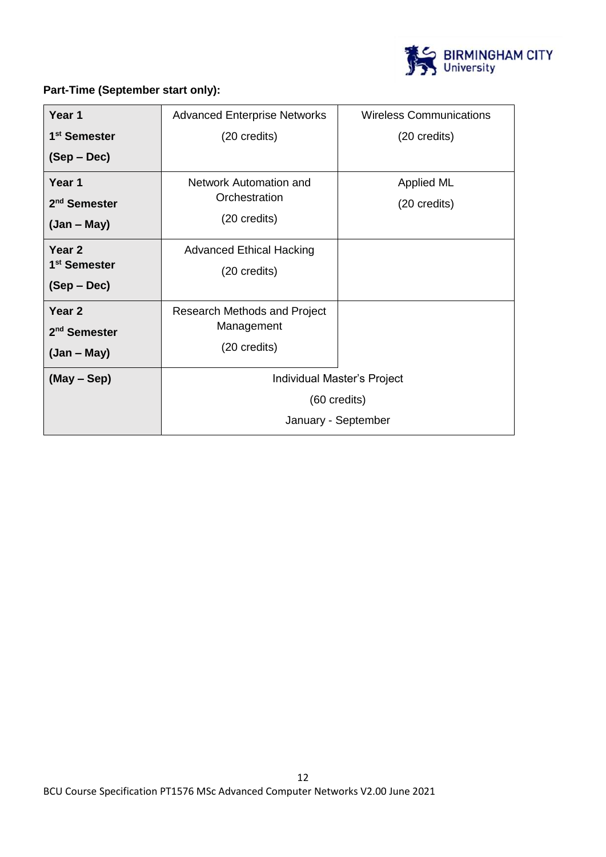

# **Part-Time (September start only):**

| Year 1                   | <b>Advanced Enterprise Networks</b> | <b>Wireless Communications</b> |
|--------------------------|-------------------------------------|--------------------------------|
| 1 <sup>st</sup> Semester | (20 credits)                        | (20 credits)                   |
| $(Sep - Dec)$            |                                     |                                |
| Year 1                   | Network Automation and              | <b>Applied ML</b>              |
| 2 <sup>nd</sup> Semester | Orchestration                       | (20 credits)                   |
| $(Jan - May)$            | (20 credits)                        |                                |
| Year <sub>2</sub>        | <b>Advanced Ethical Hacking</b>     |                                |
| 1 <sup>st</sup> Semester | (20 credits)                        |                                |
| $(Sep - Dec)$            |                                     |                                |
| Year <sub>2</sub>        | Research Methods and Project        |                                |
| 2 <sup>nd</sup> Semester | Management                          |                                |
| $(Jan - May)$            | (20 credits)                        |                                |
| $(May - Sep)$            | Individual Master's Project         |                                |
|                          | (60 credits)                        |                                |
|                          | January - September                 |                                |